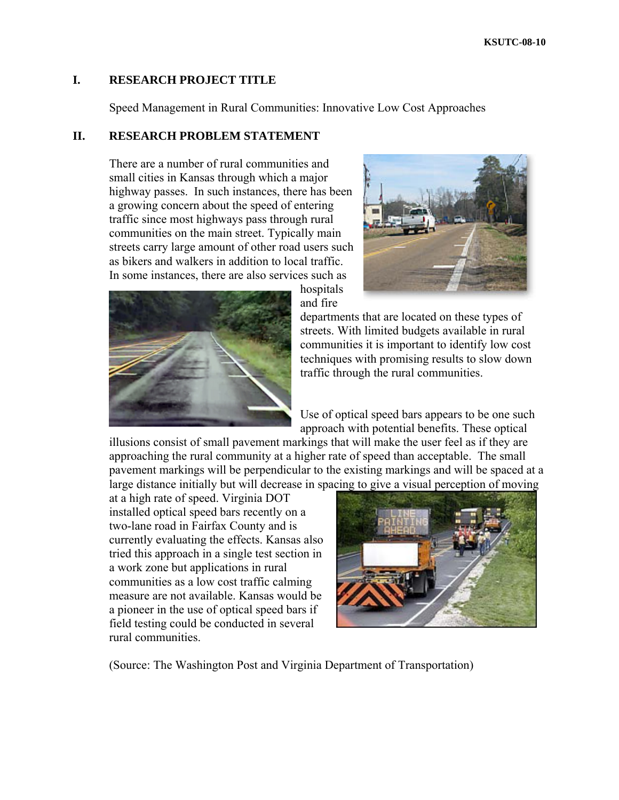### **I. RESEARCH PROJECT TITLE**

Speed Management in Rural Communities: Innovative Low Cost Approaches

#### **II. RESEARCH PROBLEM STATEMENT**

There are a number of rural communities and small cities in Kansas through which a major highway passes. In such instances, there has been a growing concern about the speed of entering traffic since most highways pass through rural communities on the main street. Typically main streets carry large amount of other road users such as bikers and walkers in addition to local traffic. In some instances, there are also services such as



hospitals and fire



departments that are located on these types of streets. With limited budgets available in rural communities it is important to identify low cost techniques with promising results to slow down traffic through the rural communities.

Use of optical speed bars appears to be one such approach with potential benefits. These optical

illusions consist of small pavement markings that will make the user feel as if they are approaching the rural community at a higher rate of speed than acceptable. The small pavement markings will be perpendicular to the existing markings and will be spaced at a large distance initially but will decrease in spacing to give a visual perception of moving

at a high rate of speed. Virginia DOT installed optical speed bars recently on a two-lane road in Fairfax County and is currently evaluating the effects. Kansas also tried this approach in a single test section in a work zone but applications in rural communities as a low cost traffic calming measure are not available. Kansas would be a pioneer in the use of optical speed bars if field testing could be conducted in several rural communities.



(Source: The Washington Post and Virginia Department of Transportation)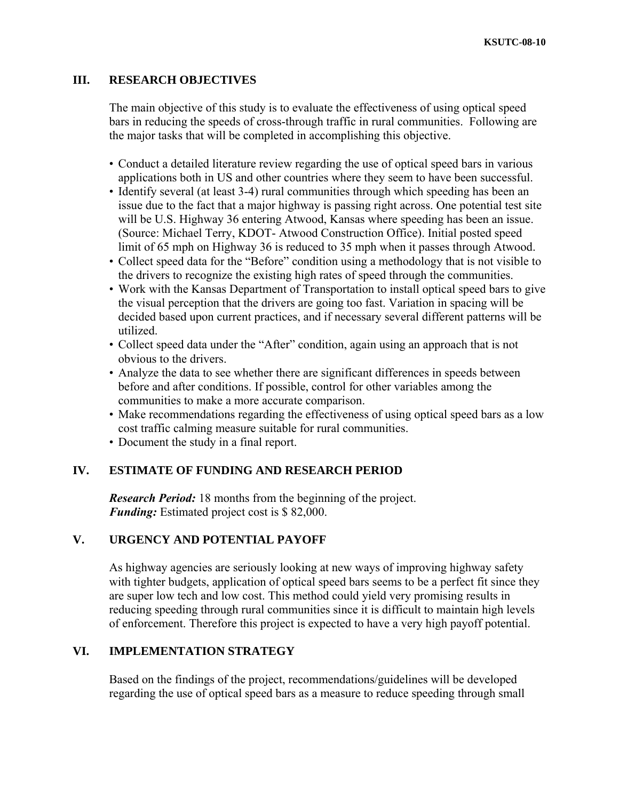# **III. RESEARCH OBJECTIVES**

The main objective of this study is to evaluate the effectiveness of using optical speed bars in reducing the speeds of cross-through traffic in rural communities. Following are the major tasks that will be completed in accomplishing this objective.

- Conduct a detailed literature review regarding the use of optical speed bars in various applications both in US and other countries where they seem to have been successful.
- Identify several (at least 3-4) rural communities through which speeding has been an issue due to the fact that a major highway is passing right across. One potential test site will be U.S. Highway 36 entering Atwood, Kansas where speeding has been an issue. (Source: Michael Terry, KDOT- Atwood Construction Office). Initial posted speed limit of 65 mph on Highway 36 is reduced to 35 mph when it passes through Atwood.
- Collect speed data for the "Before" condition using a methodology that is not visible to the drivers to recognize the existing high rates of speed through the communities.
- Work with the Kansas Department of Transportation to install optical speed bars to give the visual perception that the drivers are going too fast. Variation in spacing will be decided based upon current practices, and if necessary several different patterns will be utilized.
- Collect speed data under the "After" condition, again using an approach that is not obvious to the drivers.
- Analyze the data to see whether there are significant differences in speeds between before and after conditions. If possible, control for other variables among the communities to make a more accurate comparison.
- Make recommendations regarding the effectiveness of using optical speed bars as a low cost traffic calming measure suitable for rural communities.
- Document the study in a final report.

### **IV. ESTIMATE OF FUNDING AND RESEARCH PERIOD**

*Research Period:* 18 months from the beginning of the project. *Funding:* Estimated project cost is \$ 82,000.

### **V. URGENCY AND POTENTIAL PAYOFF**

As highway agencies are seriously looking at new ways of improving highway safety with tighter budgets, application of optical speed bars seems to be a perfect fit since they are super low tech and low cost. This method could yield very promising results in reducing speeding through rural communities since it is difficult to maintain high levels of enforcement. Therefore this project is expected to have a very high payoff potential.

# **VI. IMPLEMENTATION STRATEGY**

Based on the findings of the project, recommendations/guidelines will be developed regarding the use of optical speed bars as a measure to reduce speeding through small